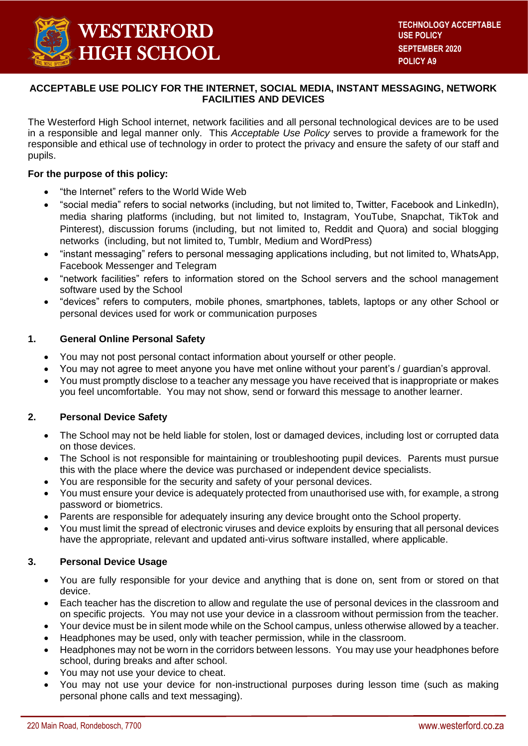

# **ACCEPTABLE USE POLICY FOR THE INTERNET, SOCIAL MEDIA, INSTANT MESSAGING, NETWORK FACILITIES AND DEVICES**

The Westerford High School internet, network facilities and all personal technological devices are to be used in a responsible and legal manner only. This *Acceptable Use Policy* serves to provide a framework for the responsible and ethical use of technology in order to protect the privacy and ensure the safety of our staff and pupils.

### **For the purpose of this policy:**

- "the Internet" refers to the World Wide Web
- "social media" refers to social networks (including, but not limited to, Twitter, Facebook and LinkedIn), media sharing platforms (including, but not limited to, Instagram, YouTube, Snapchat, TikTok and Pinterest), discussion forums (including, but not limited to, Reddit and Quora) and social blogging networks (including, but not limited to, Tumblr, Medium and WordPress)
- "instant messaging" refers to personal messaging applications including, but not limited to, WhatsApp, Facebook Messenger and Telegram
- "network facilities" refers to information stored on the School servers and the school management software used by the School
- "devices" refers to computers, mobile phones, smartphones, tablets, laptops or any other School or personal devices used for work or communication purposes

## **1. General Online Personal Safety**

- You may not post personal contact information about yourself or other people.
- You may not agree to meet anyone you have met online without your parent's / guardian's approval.
- You must promptly disclose to a teacher any message you have received that is inappropriate or makes you feel uncomfortable. You may not show, send or forward this message to another learner.

#### **2. Personal Device Safety**

- The School may not be held liable for stolen, lost or damaged devices, including lost or corrupted data on those devices.
- The School is not responsible for maintaining or troubleshooting pupil devices. Parents must pursue this with the place where the device was purchased or independent device specialists.
- You are responsible for the security and safety of your personal devices.
- You must ensure your device is adequately protected from unauthorised use with, for example, a strong password or biometrics.
- Parents are responsible for adequately insuring any device brought onto the School property.
- You must limit the spread of electronic viruses and device exploits by ensuring that all personal devices have the appropriate, relevant and updated anti-virus software installed, where applicable.

#### **3. Personal Device Usage**

- You are fully responsible for your device and anything that is done on, sent from or stored on that device.
- Each teacher has the discretion to allow and regulate the use of personal devices in the classroom and on specific projects. You may not use your device in a classroom without permission from the teacher.
- Your device must be in silent mode while on the School campus, unless otherwise allowed by a teacher.
- Headphones may be used, only with teacher permission, while in the classroom.
- Headphones may not be worn in the corridors between lessons. You may use your headphones before school, during breaks and after school.
- You may not use your device to cheat.
- You may not use your device for non-instructional purposes during lesson time (such as making personal phone calls and text messaging).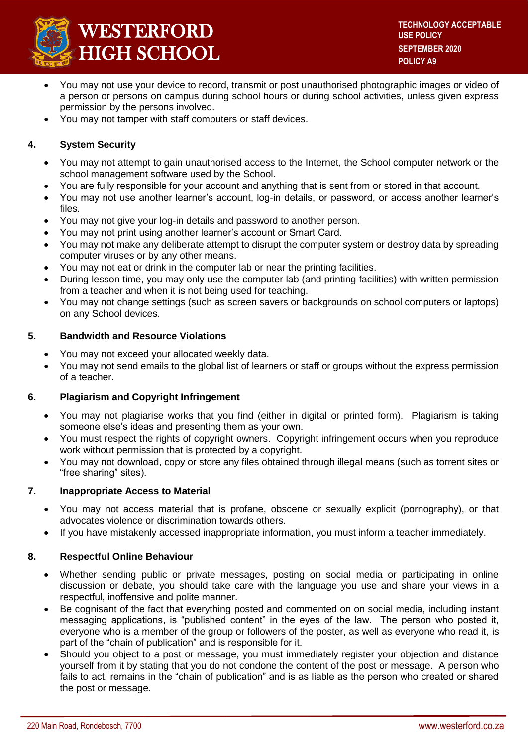

- You may not use your device to record, transmit or post unauthorised photographic images or video of a person or persons on campus during school hours or during school activities, unless given express permission by the persons involved.
- You may not tamper with staff computers or staff devices.

## **4. System Security**

- You may not attempt to gain unauthorised access to the Internet, the School computer network or the school management software used by the School.
- You are fully responsible for your account and anything that is sent from or stored in that account.
- You may not use another learner's account, log-in details, or password, or access another learner's files.
- You may not give your log-in details and password to another person.
- You may not print using another learner's account or Smart Card.
- You may not make any deliberate attempt to disrupt the computer system or destroy data by spreading computer viruses or by any other means.
- You may not eat or drink in the computer lab or near the printing facilities.
- During lesson time, you may only use the computer lab (and printing facilities) with written permission from a teacher and when it is not being used for teaching.
- You may not change settings (such as screen savers or backgrounds on school computers or laptops) on any School devices.

#### **5. Bandwidth and Resource Violations**

- You may not exceed your allocated weekly data.
- You may not send emails to the global list of learners or staff or groups without the express permission of a teacher.

#### **6. Plagiarism and Copyright Infringement**

- You may not plagiarise works that you find (either in digital or printed form). Plagiarism is taking someone else's ideas and presenting them as your own.
- You must respect the rights of copyright owners. Copyright infringement occurs when you reproduce work without permission that is protected by a copyright.
- You may not download, copy or store any files obtained through illegal means (such as torrent sites or "free sharing" sites).

#### **7. Inappropriate Access to Material**

- You may not access material that is profane, obscene or sexually explicit (pornography), or that advocates violence or discrimination towards others.
- If you have mistakenly accessed inappropriate information, you must inform a teacher immediately.

#### **8. Respectful Online Behaviour**

- Whether sending public or private messages, posting on social media or participating in online discussion or debate, you should take care with the language you use and share your views in a respectful, inoffensive and polite manner.
- Be cognisant of the fact that everything posted and commented on on social media, including instant messaging applications, is "published content" in the eyes of the law. The person who posted it, everyone who is a member of the group or followers of the poster, as well as everyone who read it, is part of the "chain of publication" and is responsible for it.
- Should you object to a post or message, you must immediately register your objection and distance yourself from it by stating that you do not condone the content of the post or message. A person who fails to act, remains in the "chain of publication" and is as liable as the person who created or shared the post or message.